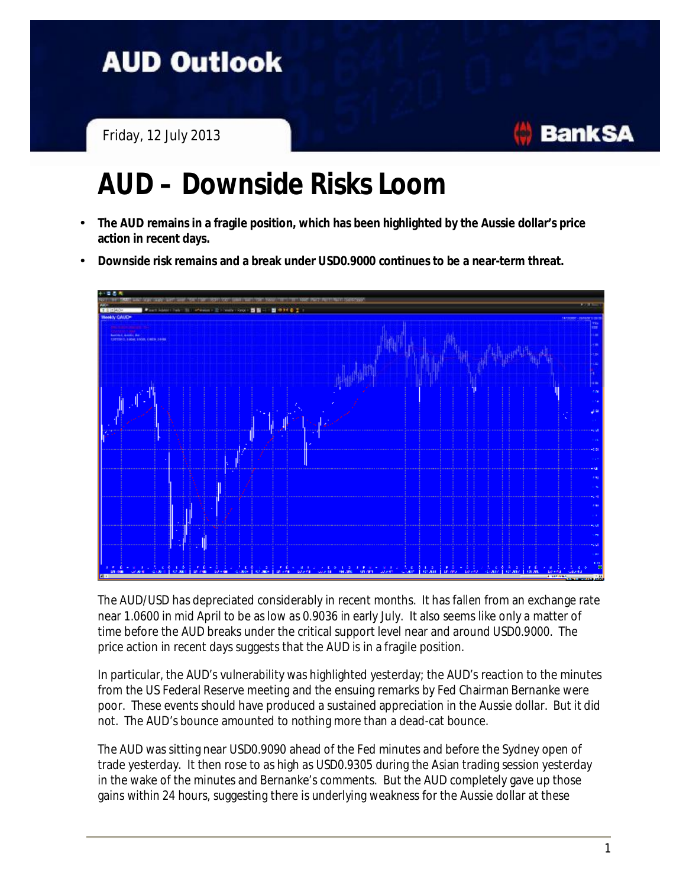## **AUD Outlook**

Friday, 12 July 2013

## **AUD – Downside Risks Loom**

- **The AUD remains in a fragile position, which has been highlighted by the Aussie dollar's price action in recent days.**
- **Downside risk remains and a break under USD0.9000 continues to be a near-term threat.**



The AUD/USD has depreciated considerably in recent months. It has fallen from an exchange rate near 1.0600 in mid April to be as low as 0.9036 in early July. It also seems like only a matter of time before the AUD breaks under the critical support level near and around USD0.9000. The price action in recent days suggests that the AUD is in a fragile position.

In particular, the AUD's vulnerability was highlighted yesterday; the AUD's reaction to the minutes from the US Federal Reserve meeting and the ensuing remarks by Fed Chairman Bernanke were poor. These events should have produced a sustained appreciation in the Aussie dollar. But it did not. The AUD's bounce amounted to nothing more than a dead-cat bounce.

The AUD was sitting near USD0.9090 ahead of the Fed minutes and before the Sydney open of trade yesterday. It then rose to as high as USD0.9305 during the Asian trading session yesterday in the wake of the minutes and Bernanke's comments. But the AUD completely gave up those gains within 24 hours, suggesting there is underlying weakness for the Aussie dollar at these

**BankSA**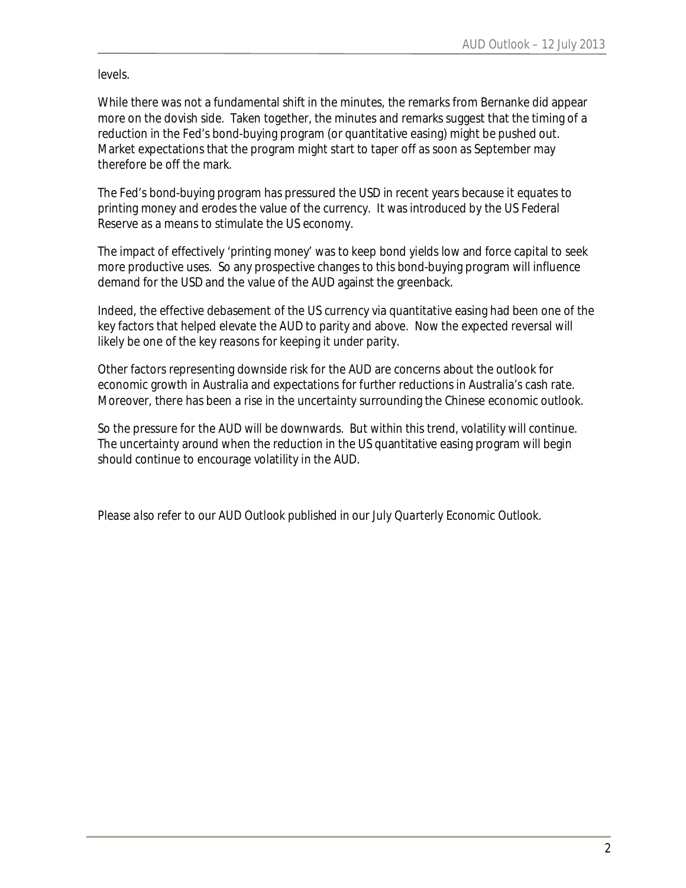levels.

While there was not a fundamental shift in the minutes, the remarks from Bernanke did appear more on the dovish side. Taken together, the minutes and remarks suggest that the timing of a reduction in the Fed's bond-buying program (or quantitative easing) might be pushed out. Market expectations that the program might start to taper off as soon as September may therefore be off the mark.

The Fed's bond-buying program has pressured the USD in recent years because it equates to printing money and erodes the value of the currency. It was introduced by the US Federal Reserve as a means to stimulate the US economy.

The impact of effectively 'printing money' was to keep bond yields low and force capital to seek more productive uses. So any prospective changes to this bond-buying program will influence demand for the USD and the value of the AUD against the greenback.

Indeed, the effective debasement of the US currency via quantitative easing had been one of the key factors that helped elevate the AUD to parity and above. Now the expected reversal will likely be one of the key reasons for keeping it under parity.

Other factors representing downside risk for the AUD are concerns about the outlook for economic growth in Australia and expectations for further reductions in Australia's cash rate. Moreover, there has been a rise in the uncertainty surrounding the Chinese economic outlook.

So the pressure for the AUD will be downwards. But within this trend, volatility will continue. The uncertainty around when the reduction in the US quantitative easing program will begin should continue to encourage volatility in the AUD.

*Please also refer to our AUD Outlook published in our July Quarterly Economic Outlook.*